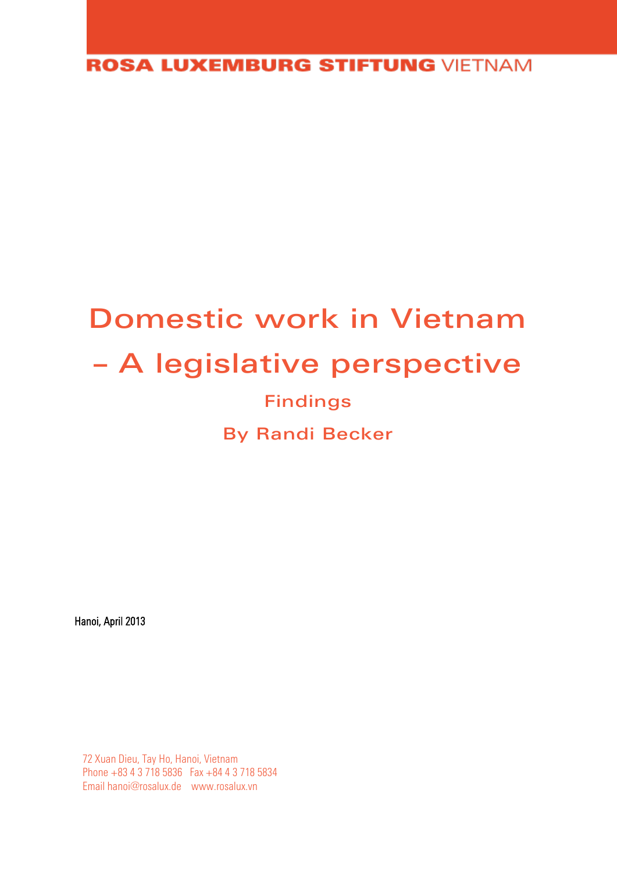**ROSA LUXEMBURG STIFTUNG VIETNAM** 

# Domestic work in Vietnam – A legislative perspective Findings By Randi Becker

Hanoi, April 2013

72 Xuan Dieu, Tay Ho, Hanoi, Vietnam Phone +83 4 3 718 5836 Fax +84 4 3 718 5834 Emai[l hanoi@rosalux.de](mailto:hanoi@rosalux.de) www.rosalux.vn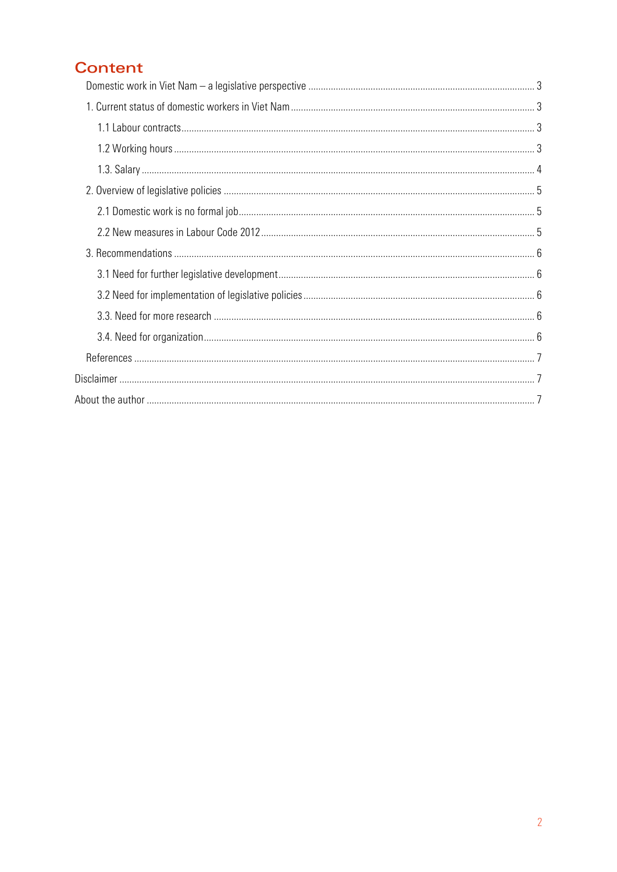# **Content**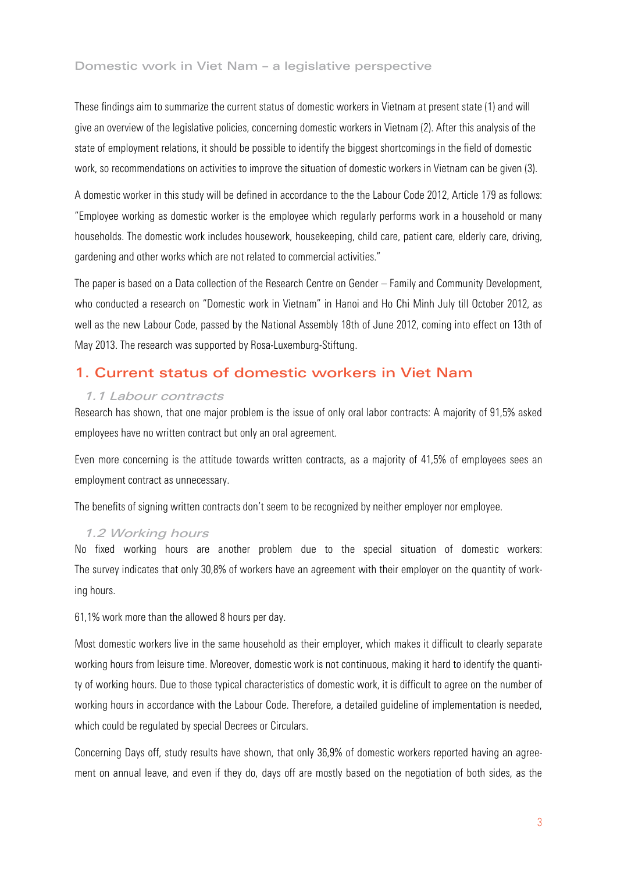#### <span id="page-2-0"></span>Domestic work in Viet Nam – a legislative perspective

These findings aim to summarize the current status of domestic workers in Vietnam at present state (1) and will give an overview of the legislative policies, concerning domestic workers in Vietnam (2). After this analysis of the state of employment relations, it should be possible to identify the biggest shortcomings in the field of domestic work, so recommendations on activities to improve the situation of domestic workers in Vietnam can be given (3).

A domestic worker in this study will be defined in accordance to the the Labour Code 2012, Article 179 as follows: "Employee working as domestic worker is the employee which regularly performs work in a household or many households. The domestic work includes housework, housekeeping, child care, patient care, elderly care, driving, gardening and other works which are not related to commercial activities."

The paper is based on a Data collection of the Research Centre on Gender – Family and Community Development, who conducted a research on "Domestic work in Vietnam" in Hanoi and Ho Chi Minh July till October 2012, as well as the new Labour Code, passed by the National Assembly 18th of June 2012, coming into effect on 13th of May 2013. The research was supported by Rosa-Luxemburg-Stiftung.

## <span id="page-2-1"></span>1. Current status of domestic workers in Viet Nam

#### <span id="page-2-2"></span>1.1 Labour contracts

Research has shown, that one major problem is the issue of only oral labor contracts: A majority of 91,5% asked employees have no written contract but only an oral agreement.

Even more concerning is the attitude towards written contracts, as a majority of 41,5% of employees sees an employment contract as unnecessary.

The benefits of signing written contracts don't seem to be recognized by neither employer nor employee.

#### <span id="page-2-3"></span>1.2 Working hours

No fixed working hours are another problem due to the special situation of domestic workers: The survey indicates that only 30,8% of workers have an agreement with their employer on the quantity of working hours.

61,1% work more than the allowed 8 hours per day.

Most domestic workers live in the same household as their employer, which makes it difficult to clearly separate working hours from leisure time. Moreover, domestic work is not continuous, making it hard to identify the quantity of working hours. Due to those typical characteristics of domestic work, it is difficult to agree on the number of working hours in accordance with the Labour Code. Therefore, a detailed guideline of implementation is needed, which could be regulated by special Decrees or Circulars.

Concerning Days off, study results have shown, that only 36,9% of domestic workers reported having an agreement on annual leave, and even if they do, days off are mostly based on the negotiation of both sides, as the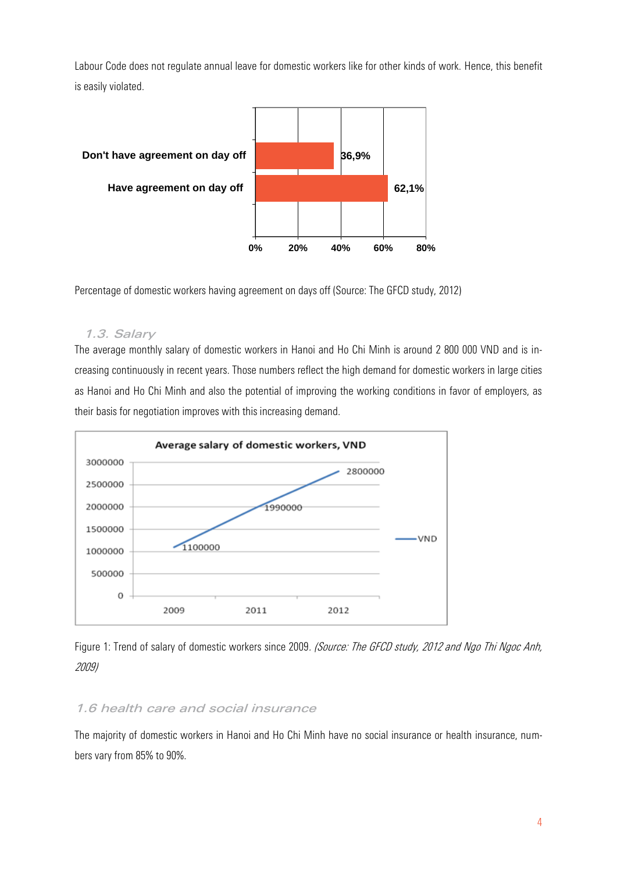Labour Code does not regulate annual leave for domestic workers like for other kinds of work. Hence, this benefit is easily violated.



Percentage of domestic workers having agreement on days off (Source: The GFCD study, 2012)

#### <span id="page-3-0"></span>1.3. Salary

The average monthly salary of domestic workers in Hanoi and Ho Chi Minh is around 2 800 000 VND and is increasing continuously in recent years. Those numbers reflect the high demand for domestic workers in large cities as Hanoi and Ho Chi Minh and also the potential of improving the working conditions in favor of employers, as their basis for negotiation improves with this increasing demand.



Figure 1: Trend of salary of domestic workers since 2009. (Source: The GFCD study, 2012 and Ngo Thi Ngoc Anh, 2009)

#### 1.6 health care and social insurance

The majority of domestic workers in Hanoi and Ho Chi Minh have no social insurance or health insurance, numbers vary from 85% to 90%.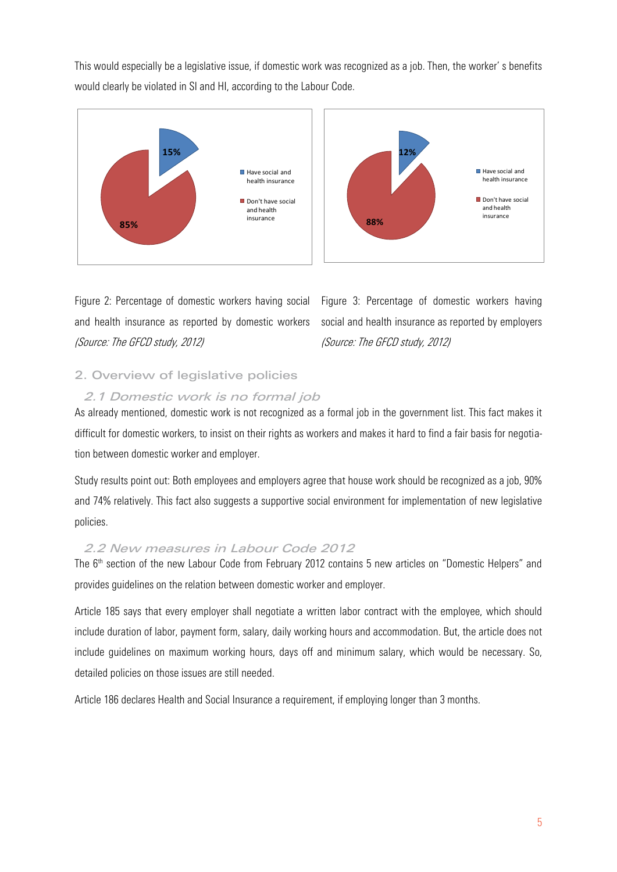This would especially be a legislative issue, if domestic work was recognized as a job. Then, the worker' s benefits would clearly be violated in SI and HI, according to the Labour Code.





Figure 2: Percentage of domestic workers having social and health insurance as reported by domestic workers (Source: The GFCD study, 2012)

Figure 3: Percentage of domestic workers having social and health insurance as reported by employers (Source: The GFCD study, 2012)

### <span id="page-4-0"></span>2. Overview of legislative policies

#### <span id="page-4-1"></span>2.1 Domestic work is no formal job

As already mentioned, domestic work is not recognized as a formal job in the government list. This fact makes it difficult for domestic workers, to insist on their rights as workers and makes it hard to find a fair basis for negotiation between domestic worker and employer.

Study results point out: Both employees and employers agree that house work should be recognized as a job, 90% and 74% relatively. This fact also suggests a supportive social environment for implementation of new legislative policies.

#### <span id="page-4-2"></span>2.2 New measures in Labour Code 2012

The 6<sup>th</sup> section of the new Labour Code from February 2012 contains 5 new articles on "Domestic Helpers" and provides guidelines on the relation between domestic worker and employer.

Article 185 says that every employer shall negotiate a written labor contract with the employee, which should include duration of labor, payment form, salary, daily working hours and accommodation. But, the article does not include guidelines on maximum working hours, days off and minimum salary, which would be necessary. So, detailed policies on those issues are still needed.

Article 186 declares Health and Social Insurance a requirement, if employing longer than 3 months.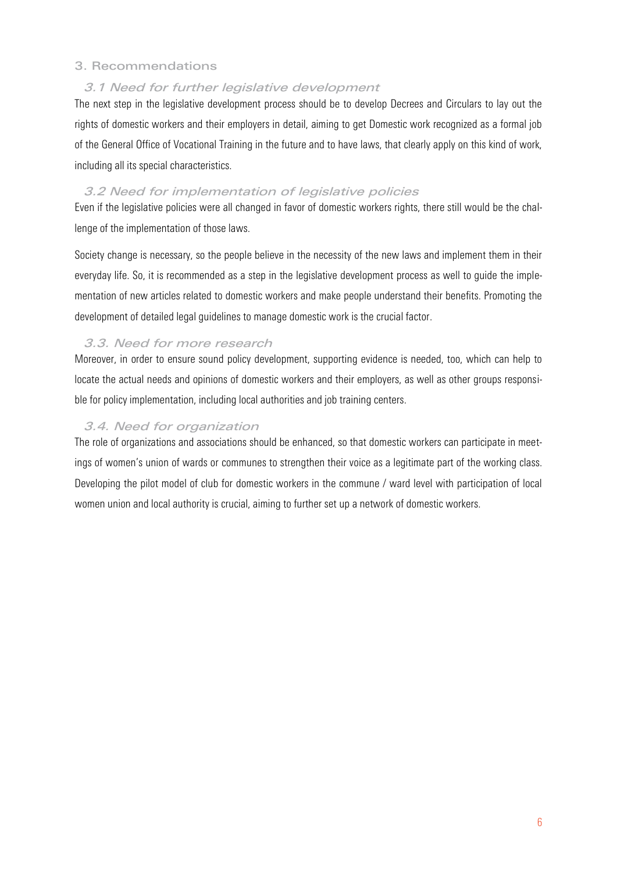#### <span id="page-5-0"></span>3. Recommendations

#### <span id="page-5-1"></span>3.1 Need for further legislative development

The next step in the legislative development process should be to develop Decrees and Circulars to lay out the rights of domestic workers and their employers in detail, aiming to get Domestic work recognized as a formal job of the General Office of Vocational Training in the future and to have laws, that clearly apply on this kind of work, including all its special characteristics.

#### <span id="page-5-2"></span>3.2 Need for implementation of legislative policies

Even if the legislative policies were all changed in favor of domestic workers rights, there still would be the challenge of the implementation of those laws.

Society change is necessary, so the people believe in the necessity of the new laws and implement them in their everyday life. So, it is recommended as a step in the legislative development process as well to guide the implementation of new articles related to domestic workers and make people understand their benefits. Promoting the development of detailed legal guidelines to manage domestic work is the crucial factor.

#### <span id="page-5-3"></span>3.3. Need for more research

Moreover, in order to ensure sound policy development, supporting evidence is needed, too, which can help to locate the actual needs and opinions of domestic workers and their employers, as well as other groups responsible for policy implementation, including local authorities and job training centers.

#### <span id="page-5-4"></span>3.4. Need for organization

The role of organizations and associations should be enhanced, so that domestic workers can participate in meetings of women's union of wards or communes to strengthen their voice as a legitimate part of the working class. Developing the pilot model of club for domestic workers in the commune / ward level with participation of local women union and local authority is crucial, aiming to further set up a network of domestic workers.